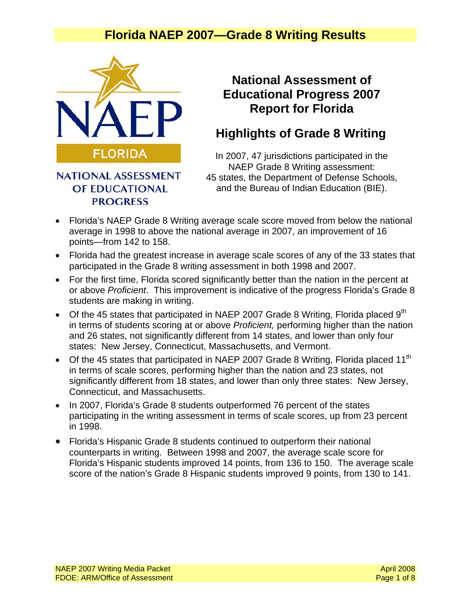

**NATIONAL ASSESSMENT OF EDUCATIONAL PROGRESS** 

# **National Assessment of Educational Progress 2007 Report for Florida**

# **Highlights of Grade 8 Writing**

In 2007, 47 jurisdictions participated in the NAEP Grade 8 Writing assessment: 45 states, the Department of Defense Schools, and the Bureau of Indian Education (BIE).

- Florida's NAEP Grade 8 Writing average scale score moved from below the national average in 1998 to above the national average in 2007, an improvement of 16 points—from 142 to 158.
- Florida had the greatest increase in average scale scores of any of the 33 states that participated in the Grade 8 writing assessment in both 1998 and 2007.
- For the first time, Florida scored significantly better than the nation in the percent at or above *Proficient*. This improvement is indicative of the progress Florida's Grade 8 students are making in writing.
- Of the 45 states that participated in NAEP 2007 Grade 8 Writing, Florida placed  $9<sup>th</sup>$ in terms of students scoring at or above *Proficient,* performing higher than the nation and 26 states, not significantly different from 14 states, and lower than only four states: New Jersey, Connecticut, Massachusetts, and Vermont.
- Of the 45 states that participated in NAEP 2007 Grade 8 Writing, Florida placed 11<sup>th</sup> in terms of scale scores, performing higher than the nation and 23 states, not significantly different from 18 states, and lower than only three states: New Jersey, Connecticut, and Massachusetts.
- In 2007, Florida's Grade 8 students outperformed 76 percent of the states participating in the writing assessment in terms of scale scores, up from 23 percent in 1998.
- Florida's Hispanic Grade 8 students continued to outperform their national counterparts in writing. Between 1998 and 2007, the average scale score for Florida's Hispanic students improved 14 points, from 136 to 150. The average scale score of the nation's Grade 8 Hispanic students improved 9 points, from 130 to 141.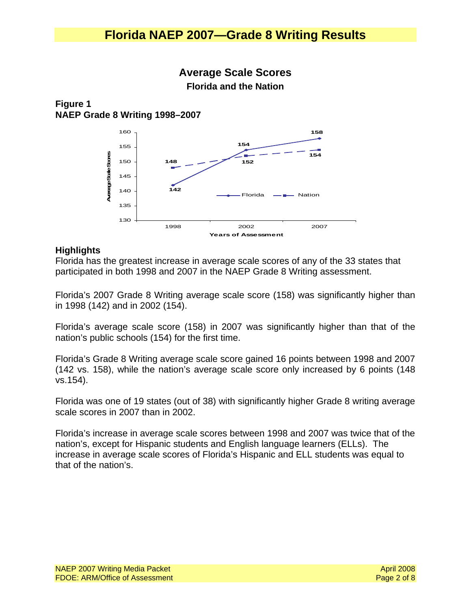

# **Average Scale Scores**

### **Highlights**

Florida has the greatest increase in average scale scores of any of the 33 states that participated in both 1998 and 2007 in the NAEP Grade 8 Writing assessment.

Florida's 2007 Grade 8 Writing average scale score (158) was significantly higher than in 1998 (142) and in 2002 (154).

Florida's average scale score (158) in 2007 was significantly higher than that of the nation's public schools (154) for the first time.

Florida's Grade 8 Writing average scale score gained 16 points between 1998 and 2007 (142 vs. 158), while the nation's average scale score only increased by 6 points (148 vs.154).

Florida was one of 19 states (out of 38) with significantly higher Grade 8 writing average scale scores in 2007 than in 2002.

Florida's increase in average scale scores between 1998 and 2007 was twice that of the nation's, except for Hispanic students and English language learners (ELLs). The increase in average scale scores of Florida's Hispanic and ELL students was equal to that of the nation's.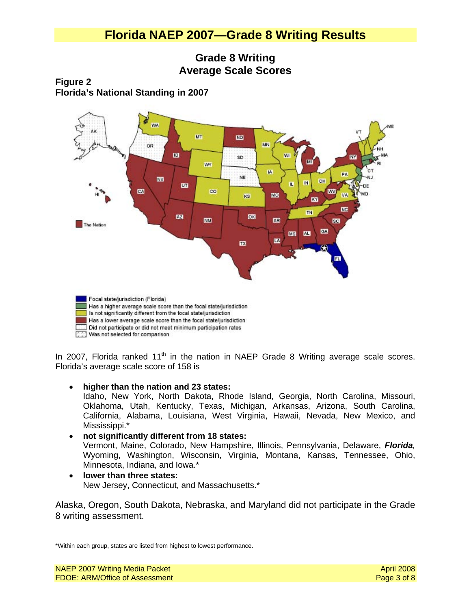**Grade 8 Writing Average Scale Scores** 





In 2007, Florida ranked  $11<sup>th</sup>$  in the nation in NAEP Grade 8 Writing average scale scores. Florida's average scale score of 158 is

• **higher than the nation and 23 states:** 

Idaho, New York, North Dakota, Rhode Island, Georgia, North Carolina, Missouri, Oklahoma, Utah, Kentucky, Texas, Michigan, Arkansas, Arizona, South Carolina, California, Alabama, Louisiana, West Virginia, Hawaii, Nevada, New Mexico, and Mississippi.\*

- **not significantly different from 18 states:**  Vermont, Maine, Colorado, New Hampshire, Illinois, Pennsylvania, Delaware, *Florida,*  Wyoming, Washington, Wisconsin, Virginia, Montana, Kansas, Tennessee, Ohio, Minnesota, Indiana, and Iowa.\*
- **lower than three states:**  New Jersey, Connecticut, and Massachusetts.\*

Alaska, Oregon, South Dakota, Nebraska, and Maryland did not participate in the Grade 8 writing assessment.

\*Within each group, states are listed from highest to lowest performance.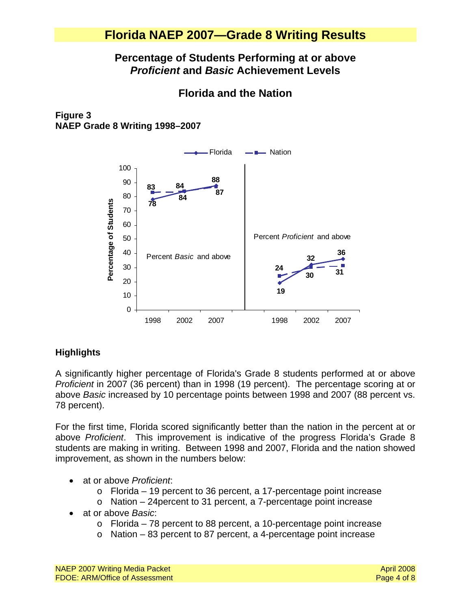## **Percentage of Students Performing at or above**  *Proficient* **and** *Basic* **Achievement Levels**

## **Florida and the Nation**

## **Figure 3 NAEP Grade 8 Writing 1998–2007**



## **Highlights**

A significantly higher percentage of Florida's Grade 8 students performed at or above *Proficient* in 2007 (36 percent) than in 1998 (19 percent). The percentage scoring at or above *Basic* increased by 10 percentage points between 1998 and 2007 (88 percent vs. 78 percent).

For the first time, Florida scored significantly better than the nation in the percent at or above *Proficient*. This improvement is indicative of the progress Florida's Grade 8 students are making in writing. Between 1998 and 2007, Florida and the nation showed improvement, as shown in the numbers below:

- at or above *Proficient*:
	- o Florida 19 percent to 36 percent, a 17-percentage point increase
	- o Nation 24percent to 31 percent, a 7-percentage point increase
- at or above *Basic*:
	- o Florida 78 percent to 88 percent, a 10-percentage point increase
	- $\circ$  Nation 83 percent to 87 percent, a 4-percentage point increase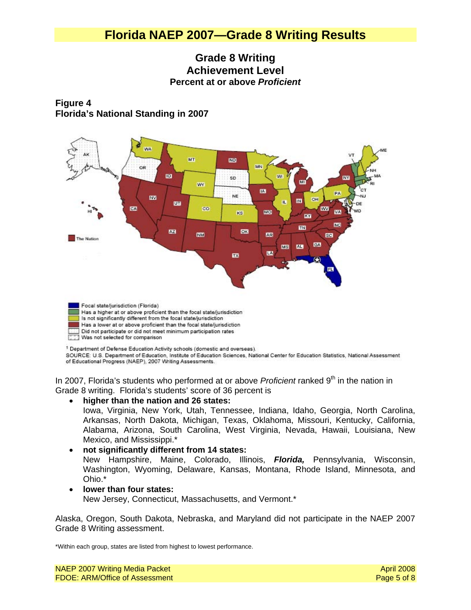## **Grade 8 Writing Achievement Level Percent at or above** *Proficient*

#### **Figure 4 Florida's National Standing in 2007**



SOURCE: U.S. Department of Education, Institute of Education Sciences, National Center for Education Statistics, National Assessment of Educational Progress (NAEP), 2007 Writing Assessments.

In 2007, Florida's students who performed at or above *Proficient* ranked 9<sup>th</sup> in the nation in Grade 8 writing. Florida's students' score of 36 percent is

#### • **higher than the nation and 26 states:**

Iowa, Virginia, New York, Utah, Tennessee, Indiana, Idaho, Georgia, North Carolina, Arkansas, North Dakota, Michigan, Texas, Oklahoma, Missouri, Kentucky, California, Alabama, Arizona, South Carolina, West Virginia, Nevada, Hawaii, Louisiana, New Mexico, and Mississippi.\*

## • **not significantly different from 14 states:**

New Hampshire, Maine, Colorado, Illinois, *Florida,* Pennsylvania, Wisconsin, Washington, Wyoming, Delaware, Kansas, Montana, Rhode Island, Minnesota, and Ohio.\*

#### • **lower than four states:**  New Jersey, Connecticut, Massachusetts, and Vermont.\*

Alaska, Oregon, South Dakota, Nebraska, and Maryland did not participate in the NAEP 2007 Grade 8 Writing assessment.

\*Within each group, states are listed from highest to lowest performance.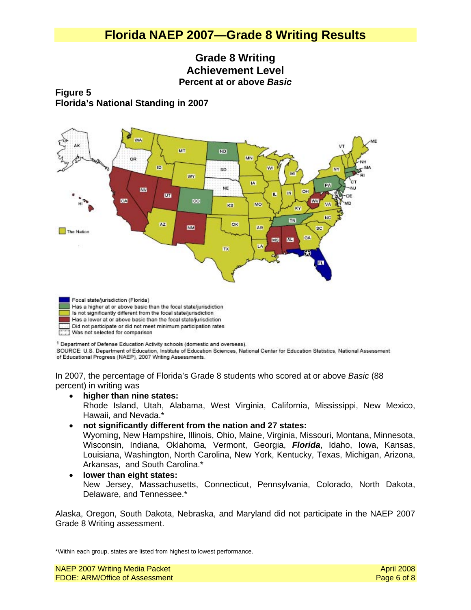## **Grade 8 Writing Achievement Level Percent at or above** *Basic*

**Figure 5 Florida's National Standing in 2007** 



<sup>1</sup> Department of Defense Education Activity schools (domestic and overseas).

SOURCE: U.S. Department of Education, Institute of Education Sciences, National Center for Education Statistics, National Assessment of Educational Progress (NAEP), 2007 Writing Assessments.

In 2007, the percentage of Florida's Grade 8 students who scored at or above *Basic* (88 percent) in writing was

#### • **higher than nine states:**  Rhode Island, Utah, Alabama, West Virginia, California, Mississippi, New Mexico, Hawaii, and Nevada.\*

• **not significantly different from the nation and 27 states:** 

Wyoming, New Hampshire, Illinois, Ohio, Maine, Virginia, Missouri, Montana, Minnesota, Wisconsin, Indiana, Oklahoma, Vermont, Georgia, *Florida*, Idaho, Iowa, Kansas, Louisiana, Washington, North Carolina, New York, Kentucky, Texas, Michigan, Arizona, Arkansas, and South Carolina.\*

• **lower than eight states:**  New Jersey, Massachusetts, Connecticut, Pennsylvania, Colorado, North Dakota, Delaware, and Tennessee.\*

Alaska, Oregon, South Dakota, Nebraska, and Maryland did not participate in the NAEP 2007 Grade 8 Writing assessment.

\*Within each group, states are listed from highest to lowest performance.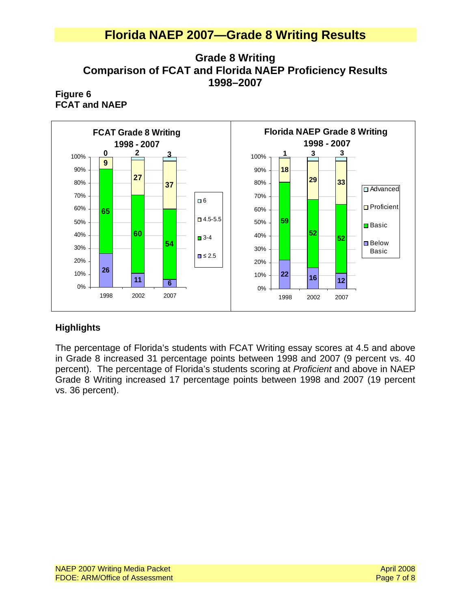## **Grade 8 Writing Comparison of FCAT and Florida NAEP Proficiency Results 1998–2007**

#### **Figure 6 FCAT and NAEP**



## **Highlights**

The percentage of Florida's students with FCAT Writing essay scores at 4.5 and above in Grade 8 increased 31 percentage points between 1998 and 2007 (9 percent vs. 40 percent). The percentage of Florida's students scoring at *Proficient* and above in NAEP Grade 8 Writing increased 17 percentage points between 1998 and 2007 (19 percent vs. 36 percent).